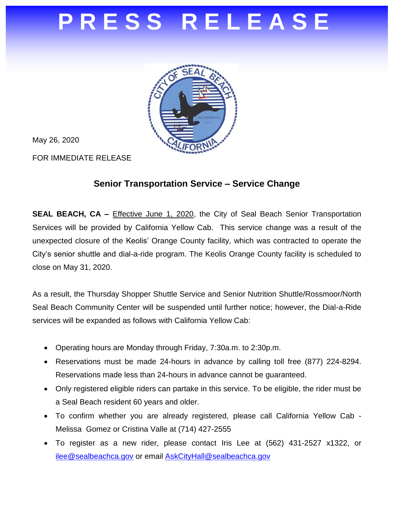## **P R E S S R E L E A S E**



May 26, 2020

FOR IMMEDIATE RELEASE

## **Senior Transportation Service – Service Change**

**SEAL BEACH, CA –** Effective June 1, 2020, the City of Seal Beach Senior Transportation Services will be provided by California Yellow Cab. This service change was a result of the unexpected closure of the Keolis' Orange County facility, which was contracted to operate the City's senior shuttle and dial-a-ride program. The Keolis Orange County facility is scheduled to close on May 31, 2020.

As a result, the Thursday Shopper Shuttle Service and Senior Nutrition Shuttle/Rossmoor/North Seal Beach Community Center will be suspended until further notice; however, the Dial-a-Ride services will be expanded as follows with California Yellow Cab:

- Operating hours are Monday through Friday, 7:30a.m. to 2:30p.m.
- Reservations must be made 24-hours in advance by calling toll free (877) 224-8294. Reservations made less than 24-hours in advance cannot be guaranteed.
- Only registered eligible riders can partake in this service. To be eligible, the rider must be a Seal Beach resident 60 years and older.
- To confirm whether you are already registered, please call California Yellow Cab Melissa Gomez or Cristina Valle at (714) 427-2555
- To register as a new rider, please contact Iris Lee at (562) 431-2527 x1322, or [ilee@sealbeachca.gov](mailto:ilee@sealbeachca.gov) or email [AskCityHall@sealbeachca.gov](mailto:AskCityHall@sealbeachca.gov)